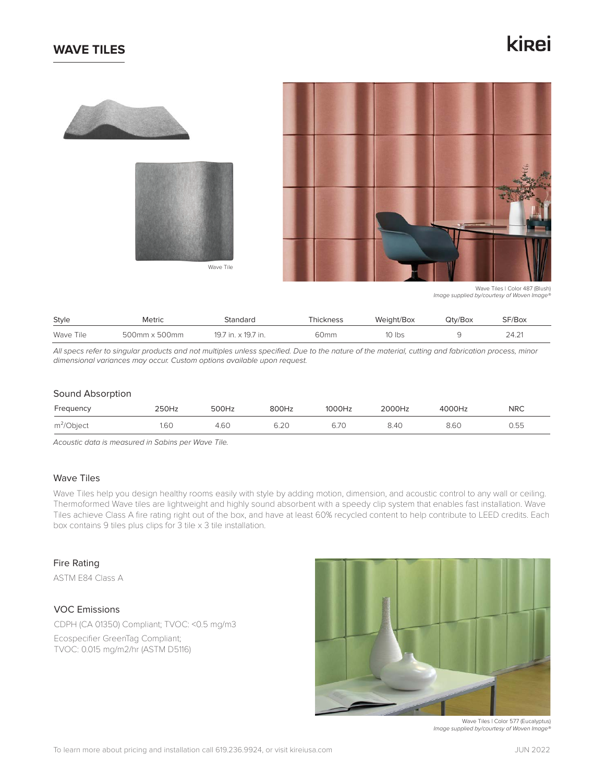## **WAVE TILES**

# kinei







Wave Tiles | Color 487 (Blush) *Image supplied by/courtesy of Woven Image®*

| Style     | <b>Metric</b><br>Standard |                     | Thickness | Weight/Box | Qtv/Box | SF/Box |  |
|-----------|---------------------------|---------------------|-----------|------------|---------|--------|--|
| Wave Tile | 500mm x 500mm             | 19.7 in. x 19.7 in. | 60mm      | 10 lbs     |         | 24.21  |  |

*All specs refer to singular products and not multiples unless specified. Due to the nature of the material, cutting and fabrication process, minor dimensional variances may occur. Custom options available upon request.*

#### Sound Absorption

| Frequency     | 250Hz | 500Hz | 800Hz | 1000Hz | 2000Hz | 4000Hz | <b>NRC</b> |
|---------------|-------|-------|-------|--------|--------|--------|------------|
| $m^2$ /Object | 1.60  | 4.60  | 6.20  | 6.7C   | 8.40   | 8.6C   | 0.55       |

*Acoustic data is measured in Sabins per Wave Tile.*

## Wave Tiles

Wave Tiles help you design healthy rooms easily with style by adding motion, dimension, and acoustic control to any wall or ceiling. Thermoformed Wave tiles are lightweight and highly sound absorbent with a speedy clip system that enables fast installation. Wave Tiles achieve Class A fire rating right out of the box, and have at least 60% recycled content to help contribute to LEED credits. Each box contains 9 tiles plus clips for 3 tile x 3 tile installation.

#### Fire Rating

ASTM E84 Class A

## VOC Emissions

CDPH (CA 01350) Compliant; TVOC: <0.5 mg/m3 Ecospecifier GreenTag Compliant; TVOC: 0.015 mg/m2/hr (ASTM D5116)



Wave Tiles | Color 577 (Eucalyptus) *Image supplied by/courtesy of Woven Image®*